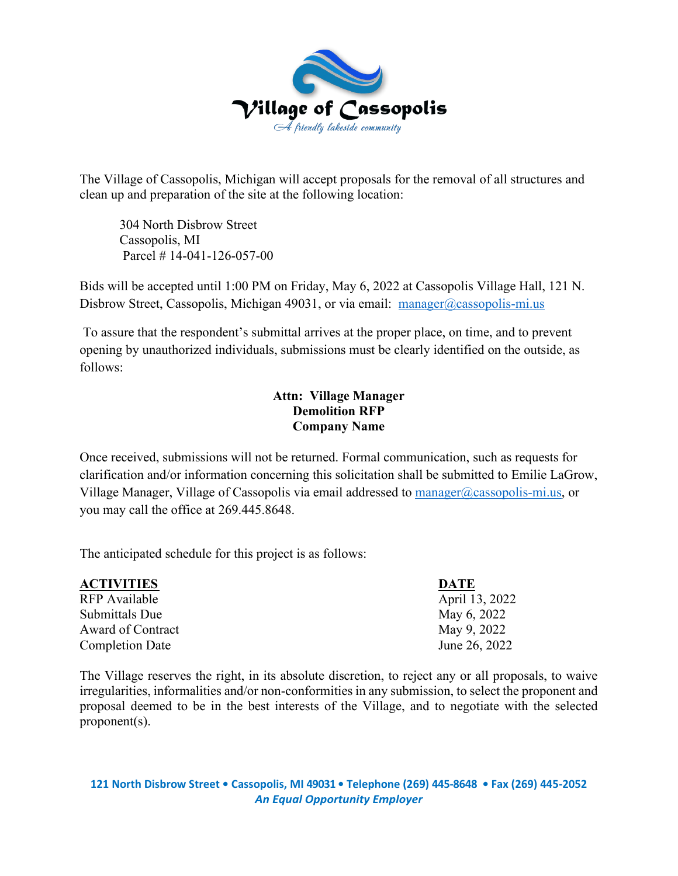

The Village of Cassopolis, Michigan will accept proposals for the removal of all structures and clean up and preparation of the site at the following location:

 304 North Disbrow Street Cassopolis, MI Parcel # 14-041-126-057-00

Bids will be accepted until 1:00 PM on Friday, May 6, 2022 at Cassopolis Village Hall, 121 N. Disbrow Street, Cassopolis, Michigan 49031, or via email: [manager@cassopolis-mi.us](mailto:manager@cassopolis-mi.us)

 To assure that the respondent's submittal arrives at the proper place, on time, and to prevent opening by unauthorized individuals, submissions must be clearly identified on the outside, as follows:

# **Attn: Village Manager Demolition RFP Company Name**

Once received, submissions will not be returned. Formal communication, such as requests for clarification and/or information concerning this solicitation shall be submitted to Emilie LaGrow, Village Manager, Village of Cassopolis via email addressed to [manager@cassopolis-mi.us,](mailto:manager@cassopolis-mi.us) or you may call the office at 269.445.8648.

The anticipated schedule for this project is as follows:

| <b>ACTIVITIES</b>      | <b>DATE</b>    |
|------------------------|----------------|
| RFP Available          | April 13, 2022 |
| Submittals Due         | May 6, 2022    |
| Award of Contract      | May 9, 2022    |
| <b>Completion Date</b> | June 26, 2022  |

The Village reserves the right, in its absolute discretion, to reject any or all proposals, to waive irregularities, informalities and/or non-conformities in any submission, to select the proponent and proposal deemed to be in the best interests of the Village, and to negotiate with the selected proponent(s).

**121 North Disbrow Street • Cassopolis, MI 49031 • Telephone (269) 445-8648 • Fax (269) 445-2052** *An Equal Opportunity Employer*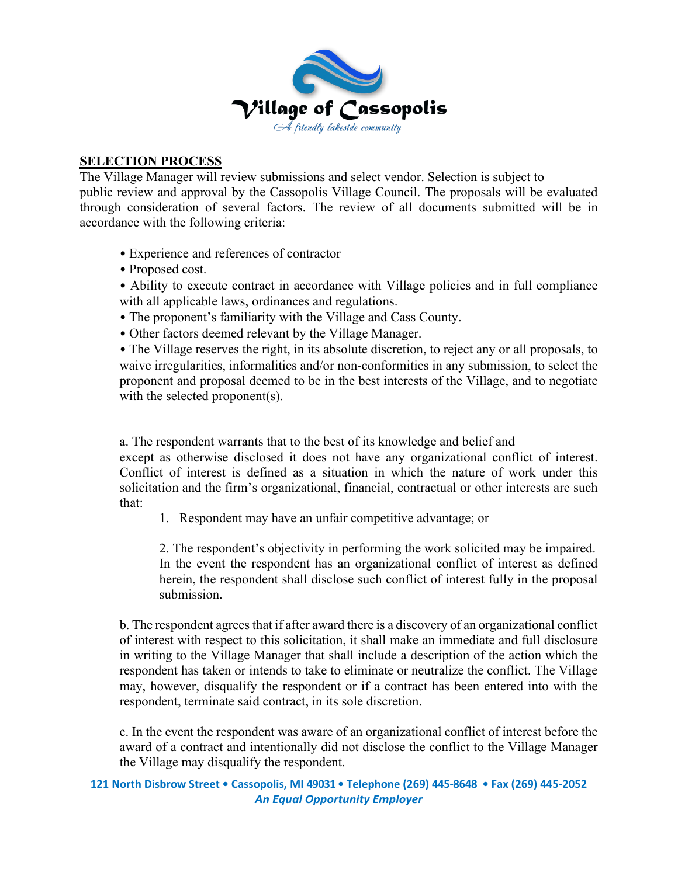

### **SELECTION PROCESS**

The Village Manager will review submissions and select vendor. Selection is subject to public review and approval by the Cassopolis Village Council. The proposals will be evaluated through consideration of several factors. The review of all documents submitted will be in accordance with the following criteria:

- Experience and references of contractor
- Proposed cost.
- Ability to execute contract in accordance with Village policies and in full compliance with all applicable laws, ordinances and regulations.
- The proponent's familiarity with the Village and Cass County.
- Other factors deemed relevant by the Village Manager.

• The Village reserves the right, in its absolute discretion, to reject any or all proposals, to waive irregularities, informalities and/or non-conformities in any submission, to select the proponent and proposal deemed to be in the best interests of the Village, and to negotiate with the selected proponent(s).

a. The respondent warrants that to the best of its knowledge and belief and

except as otherwise disclosed it does not have any organizational conflict of interest. Conflict of interest is defined as a situation in which the nature of work under this solicitation and the firm's organizational, financial, contractual or other interests are such that:

1. Respondent may have an unfair competitive advantage; or

 2. The respondent's objectivity in performing the work solicited may be impaired. In the event the respondent has an organizational conflict of interest as defined herein, the respondent shall disclose such conflict of interest fully in the proposal submission.

b. The respondent agrees that if after award there is a discovery of an organizational conflict of interest with respect to this solicitation, it shall make an immediate and full disclosure in writing to the Village Manager that shall include a description of the action which the respondent has taken or intends to take to eliminate or neutralize the conflict. The Village may, however, disqualify the respondent or if a contract has been entered into with the respondent, terminate said contract, in its sole discretion.

c. In the event the respondent was aware of an organizational conflict of interest before the award of a contract and intentionally did not disclose the conflict to the Village Manager the Village may disqualify the respondent.

#### **121 North Disbrow Street • Cassopolis, MI 49031 • Telephone (269) 445-8648 • Fax (269) 445-2052** *An Equal Opportunity Employer*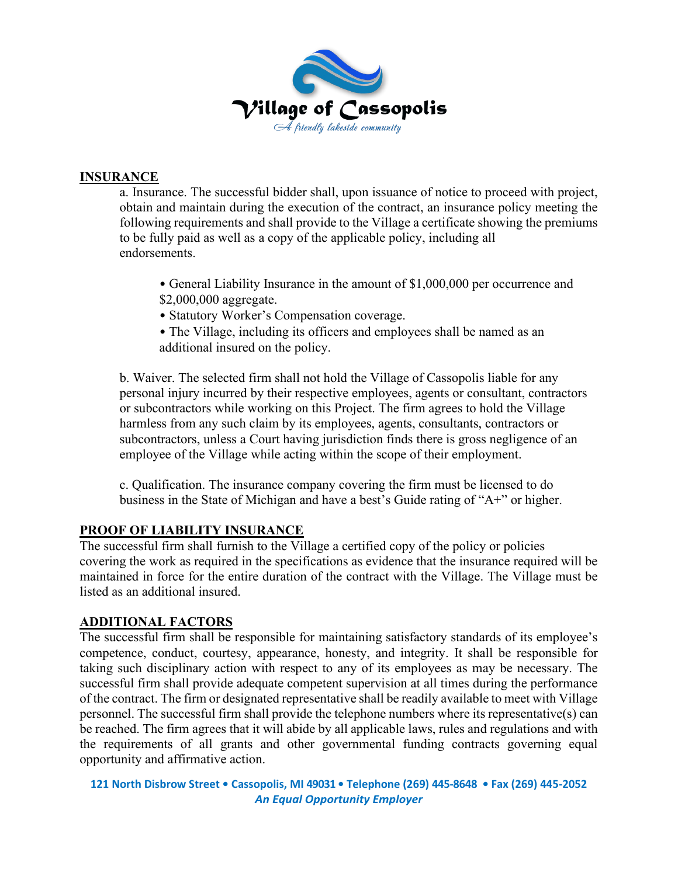

## **INSURANCE**

a. Insurance. The successful bidder shall, upon issuance of notice to proceed with project, obtain and maintain during the execution of the contract, an insurance policy meeting the following requirements and shall provide to the Village a certificate showing the premiums to be fully paid as well as a copy of the applicable policy, including all endorsements.

- General Liability Insurance in the amount of \$1,000,000 per occurrence and \$2,000,000 aggregate.
- Statutory Worker's Compensation coverage.
- The Village, including its officers and employees shall be named as an additional insured on the policy.

b. Waiver. The selected firm shall not hold the Village of Cassopolis liable for any personal injury incurred by their respective employees, agents or consultant, contractors or subcontractors while working on this Project. The firm agrees to hold the Village harmless from any such claim by its employees, agents, consultants, contractors or subcontractors, unless a Court having jurisdiction finds there is gross negligence of an employee of the Village while acting within the scope of their employment.

c. Qualification. The insurance company covering the firm must be licensed to do business in the State of Michigan and have a best's Guide rating of "A+" or higher.

# **PROOF OF LIABILITY INSURANCE**

The successful firm shall furnish to the Village a certified copy of the policy or policies covering the work as required in the specifications as evidence that the insurance required will be maintained in force for the entire duration of the contract with the Village. The Village must be listed as an additional insured.

# **ADDITIONAL FACTORS**

The successful firm shall be responsible for maintaining satisfactory standards of its employee's competence, conduct, courtesy, appearance, honesty, and integrity. It shall be responsible for taking such disciplinary action with respect to any of its employees as may be necessary. The successful firm shall provide adequate competent supervision at all times during the performance of the contract. The firm or designated representative shall be readily available to meet with Village personnel. The successful firm shall provide the telephone numbers where its representative(s) can be reached. The firm agrees that it will abide by all applicable laws, rules and regulations and with the requirements of all grants and other governmental funding contracts governing equal opportunity and affirmative action.

```
121 North Disbrow Street • Cassopolis, MI 49031 • Telephone (269) 445-8648 • Fax (269) 445-2052
                  An Equal Opportunity Employer
```